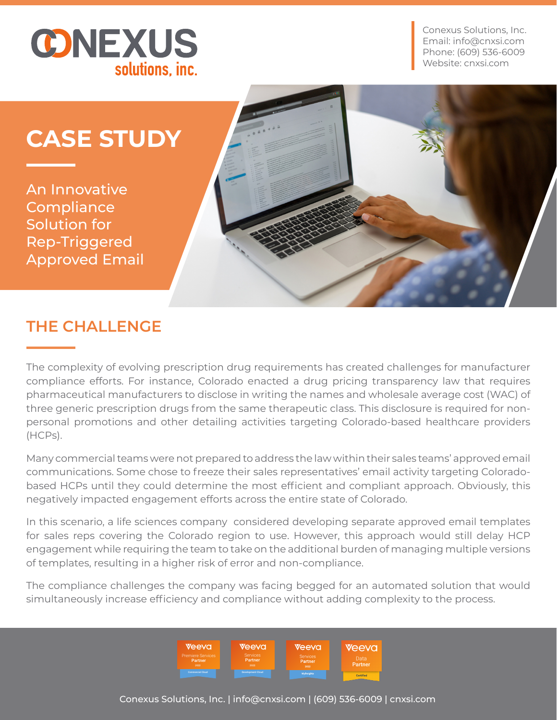

Conexus Solutions, Inc. Email: info@cnxsi.com Phone: (609) 536-6009 Website: cnxsi.com

# **CASE STUDY**

An Innovative **Compliance** Solution for Rep-Triggered Approved Email



## **THE CHALLENGE**

The complexity of evolving prescription drug requirements has created challenges for manufacturer compliance efforts. For instance, Colorado enacted a drug pricing transparency law that requires pharmaceutical manufacturers to disclose in writing the names and wholesale average cost (WAC) of three generic prescription drugs from the same therapeutic class. This disclosure is required for nonpersonal promotions and other detailing activities targeting Colorado-based healthcare providers (HCPs).

Many commercial teams were not prepared to address the law within their sales teams' approved email communications. Some chose to freeze their sales representatives' email activity targeting Coloradobased HCPs until they could determine the most efficient and compliant approach. Obviously, this negatively impacted engagement efforts across the entire state of Colorado.

In this scenario, a life sciences company considered developing separate approved email templates for sales reps covering the Colorado region to use. However, this approach would still delay HCP engagement while requiring the team to take on the additional burden of managing multiple versions of templates, resulting in a higher risk of error and non-compliance.

The compliance challenges the company was facing begged for an automated solution that would simultaneously increase efficiency and compliance without adding complexity to the process.